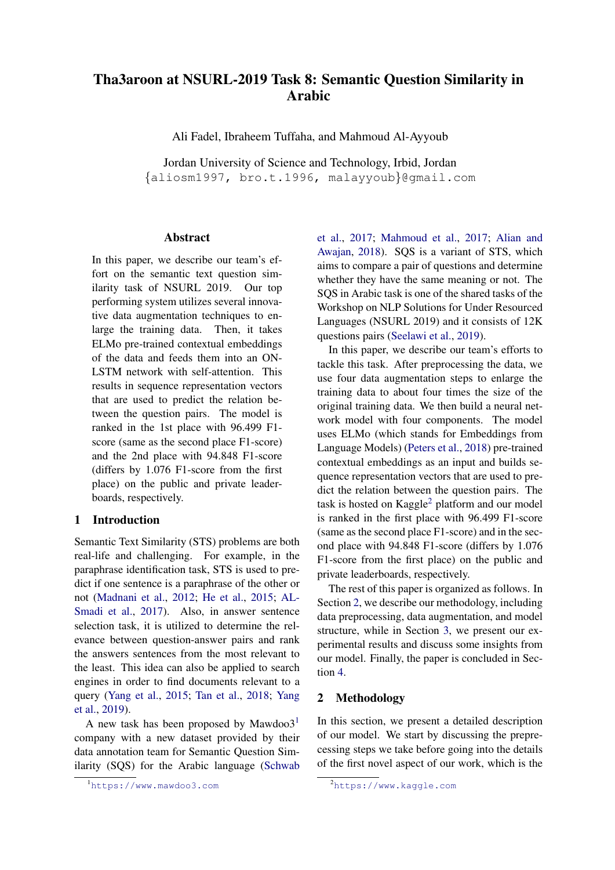# Tha3aroon at NSURL-2019 Task 8: Semantic Question Similarity in Arabic

Ali Fadel, Ibraheem Tuffaha, and Mahmoud Al-Ayyoub

Jordan University of Science and Technology, Irbid, Jordan {aliosm1997, bro.t.1996, malayyoub}@gmail.com

#### Abstract

In this paper, we describe our team's effort on the semantic text question similarity task of NSURL 2019. Our top performing system utilizes several innovative data augmentation techniques to enlarge the training data. Then, it takes ELMo pre-trained contextual embeddings of the data and feeds them into an ON-LSTM network with self-attention. This results in sequence representation vectors that are used to predict the relation between the question pairs. The model is ranked in the 1st place with 96.499 F1 score (same as the second place F1-score) and the 2nd place with 94.848 F1-score (differs by 1.076 F1-score from the first place) on the public and private leaderboards, respectively.

## 1 Introduction

Semantic Text Similarity (STS) problems are both real-life and challenging. For example, in the paraphrase identification task, STS is used to predict if one sentence is a paraphrase of the other or not [\(Madnani et al.,](#page-8-0) [2012;](#page-8-0) [He et al.,](#page-7-0) [2015;](#page-7-0) [AL-](#page-7-1)[Smadi et al.,](#page-7-1) [2017\)](#page-7-1). Also, in answer sentence selection task, it is utilized to determine the relevance between question-answer pairs and rank the answers sentences from the most relevant to the least. This idea can also be applied to search engines in order to find documents relevant to a query [\(Yang et al.,](#page-8-1) [2015;](#page-8-1) [Tan et al.,](#page-8-2) [2018;](#page-8-2) [Yang](#page-8-3) [et al.,](#page-8-3) [2019\)](#page-8-3).

A new task has been proposed by Mawdoo $3<sup>1</sup>$  $3<sup>1</sup>$  $3<sup>1</sup>$ company with a new dataset provided by their data annotation team for Semantic Question Similarity (SQS) for the Arabic language [\(Schwab](#page-8-4) [et al.,](#page-8-4) [2017;](#page-8-4) [Mahmoud et al.,](#page-8-5) [2017;](#page-8-5) [Alian and](#page-7-2) [Awajan,](#page-7-2) [2018\)](#page-7-2). SQS is a variant of STS, which aims to compare a pair of questions and determine whether they have the same meaning or not. The SQS in Arabic task is one of the shared tasks of the Workshop on NLP Solutions for Under Resourced Languages (NSURL 2019) and it consists of 12K questions pairs [\(Seelawi et al.,](#page-8-6) [2019\)](#page-8-6).

In this paper, we describe our team's efforts to tackle this task. After preprocessing the data, we use four data augmentation steps to enlarge the training data to about four times the size of the original training data. We then build a neural network model with four components. The model uses ELMo (which stands for Embeddings from Language Models) [\(Peters et al.,](#page-8-7) [2018\)](#page-8-7) pre-trained contextual embeddings as an input and builds sequence representation vectors that are used to predict the relation between the question pairs. The task is hosted on  $Kagger^2$  $Kagger^2$  platform and our model is ranked in the first place with 96.499 F1-score (same as the second place F1-score) and in the second place with 94.848 F1-score (differs by 1.076 F1-score from the first place) on the public and private leaderboards, respectively.

The rest of this paper is organized as follows. In Section [2,](#page-0-2) we describe our methodology, including data preprocessing, data augmentation, and model structure, while in Section [3,](#page-3-0) we present our experimental results and discuss some insights from our model. Finally, the paper is concluded in Section [4.](#page-6-0)

## <span id="page-0-2"></span>2 Methodology

In this section, we present a detailed description of our model. We start by discussing the preprecessing steps we take before going into the details of the first novel aspect of our work, which is the

<span id="page-0-0"></span><sup>1</sup>[https://www.mawdoo3.com](#page-8-4)

<span id="page-0-1"></span><sup>2</sup><https://www.kaggle.com>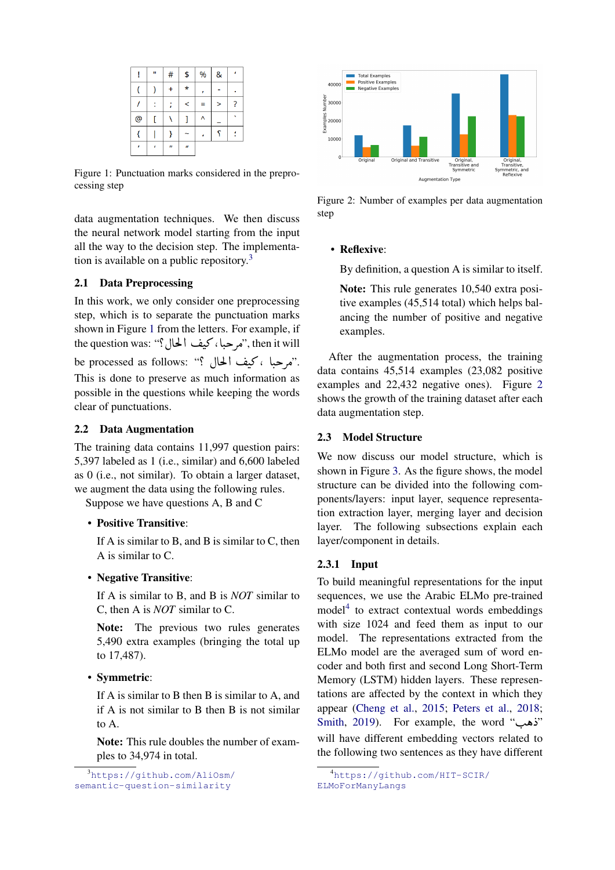<span id="page-1-1"></span>

|                | Ħ | #                | \$               | % | & |   |
|----------------|---|------------------|------------------|---|---|---|
|                |   | Ł                | $\star$          |   |   |   |
|                |   |                  | $\,<$            | Ξ | > | ? |
| $\circledcirc$ |   |                  |                  | Λ |   |   |
|                |   |                  |                  |   | S |   |
| ŕ              | ı | $\boldsymbol{u}$ | $\boldsymbol{u}$ |   |   |   |

Figure 1: Punctuation marks considered in the preprocessing step

data augmentation techniques. We then discuss the neural network model starting from the input all the way to the decision step. The implementation is available on a public repository.[3](#page-1-0)

## 2.1 Data Preprocessing

In this work, we only consider one preprocessing step, which is to separate the punctuation marks shown in Figure [1](#page-1-1) from the letters. For example, if shown in Figure 1 from the letters. For example, if<br>"hen it will نهر حبا ، كيف الحال؟" hen it will ,  $\ddot{\cdot}$ ule question was. : مرحباً، فيف أحمال. ; ane question was.<br>.''مرحباً ، كيف ألحال ؟'' ;be processed as follows:  $\ddot{\cdot}$ This is done to preserve as much information as possible in the questions while keeping the words clear of punctuations.

## <span id="page-1-4"></span>2.2 Data Augmentation

The training data contains 11,997 question pairs: 5,397 labeled as 1 (i.e., similar) and 6,600 labeled as 0 (i.e., not similar). To obtain a larger dataset, we augment the data using the following rules.

Suppose we have questions A, B and C

## • Positive Transitive:

If A is similar to B, and B is similar to C, then A is similar to C.

#### • Negative Transitive:

If A is similar to B, and B is *NOT* similar to C, then A is *NOT* similar to C.

Note: The previous two rules generates 5,490 extra examples (bringing the total up to 17,487).

• Symmetric:

If A is similar to B then B is similar to A, and if A is not similar to B then B is not similar to A.

Note: This rule doubles the number of examples to 34,974 in total.

<span id="page-1-0"></span><sup>3</sup>[https://github.com/AliOsm/](https://github.com/AliOsm/semantic-question-similarity) [semantic-question-similarity](https://github.com/AliOsm/semantic-question-similarity)

<span id="page-1-2"></span>

Figure 2: Number of examples per data augmentation step

## • Reflexive:

By definition, a question A is similar to itself.

Note: This rule generates 10,540 extra positive examples (45,514 total) which helps balancing the number of positive and negative examples.

After the augmentation process, the training data contains 45,514 examples (23,082 positive examples and 22,432 negative ones). Figure [2](#page-1-2) shows the growth of the training dataset after each data augmentation step.

### <span id="page-1-5"></span>2.3 Model Structure

We now discuss our model structure, which is shown in Figure [3.](#page-2-0) As the figure shows, the model structure can be divided into the following components/layers: input layer, sequence representation extraction layer, merging layer and decision layer. The following subsections explain each layer/component in details.

### 2.3.1 Input

To build meaningful representations for the input sequences, we use the Arabic ELMo pre-trained model<sup>[4](#page-1-3)</sup> to extract contextual words embeddings with size 1024 and feed them as input to our model. The representations extracted from the ELMo model are the averaged sum of word encoder and both first and second Long Short-Term Memory (LSTM) hidden layers. These representations are affected by the context in which they appear [\(Cheng et al.,](#page-7-3) [2015;](#page-7-3) [Peters et al.,](#page-8-7) [2018;](#page-8-7) appear (Cheng et al., 2019, Feters et al., 2010,<br>"Yes (Al., [2019\)](#page-8-8). For example, the word "ناهب" will have different embedding vectors related to the following two sentences as they have different

<span id="page-1-3"></span><sup>4</sup>[https://github.com/HIT-SCIR/](https://github.com/HIT-SCIR/ELMoForManyLangs) [ELMoForManyLangs](https://github.com/HIT-SCIR/ELMoForManyLangs)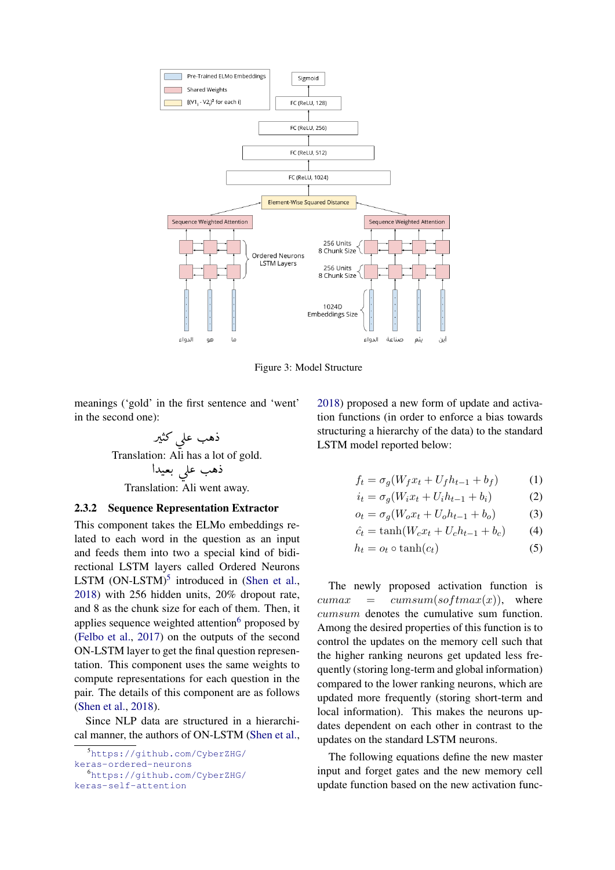<span id="page-2-0"></span>

Figure 3: Model Structure

meanings ('gold' in the first sentence and 'went' in the second one):

ذهب عل<sub>ى</sub> كثير<sup>ً</sup>  $\ddot{\cdot}$  $\overline{a}$  $\overline{\phantom{a}}$  Translation: Ali has a lot of gold.  $\overline{a}$ on. 1111 nas a 101<br>ذهب علم بعيدا  $\overline{a}$  $\frac{1}{2}$  Translation: Ali went away. )<br>.

## 2.3.2 Sequence Representation Extractor

This component takes the ELMo embeddings related to each word in the question as an input and feeds them into two a special kind of bidirectional LSTM layers called Ordered Neurons LSTM  $(ON-LSTM)^5$  $(ON-LSTM)^5$  introduced in [\(Shen et al.,](#page-8-9) [2018\)](#page-8-9) with 256 hidden units, 20% dropout rate, and 8 as the chunk size for each of them. Then, it applies sequence weighted attention $6$  proposed by [\(Felbo et al.,](#page-7-4) [2017\)](#page-7-4) on the outputs of the second ON-LSTM layer to get the final question representation. This component uses the same weights to compute representations for each question in the pair. The details of this component are as follows [\(Shen et al.,](#page-8-9) [2018\)](#page-8-9).

Since NLP data are structured in a hierarchical manner, the authors of ON-LSTM [\(Shen et al.,](#page-8-9)

<span id="page-2-2"></span><sup>6</sup>[https://github.com/CyberZHG/](https://github.com/CyberZHG/keras-self-attention) [keras-self-attention](https://github.com/CyberZHG/keras-self-attention)

[2018\)](#page-8-9) proposed a new form of update and activation functions (in order to enforce a bias towards structuring a hierarchy of the data) to the standard LSTM model reported below:

$$
f_t = \sigma_g(W_f x_t + U_f h_{t-1} + b_f)
$$
 (1)

$$
i_t = \sigma_g(W_i x_t + U_i h_{t-1} + b_i)
$$
 (2)

$$
o_t = \sigma_g(W_o x_t + U_o h_{t-1} + b_o)
$$
 (3)

$$
\hat{c}_t = \tanh(W_c x_t + U_c h_{t-1} + b_c) \tag{4}
$$

$$
h_t = o_t \circ \tanh(c_t) \tag{5}
$$

The newly proposed activation function is  $cumax = cumsum(softmax(x)),$  where cumsum denotes the cumulative sum function. Among the desired properties of this function is to control the updates on the memory cell such that the higher ranking neurons get updated less frequently (storing long-term and global information) compared to the lower ranking neurons, which are updated more frequently (storing short-term and local information). This makes the neurons updates dependent on each other in contrast to the updates on the standard LSTM neurons.

The following equations define the new master input and forget gates and the new memory cell update function based on the new activation func-

<span id="page-2-1"></span><sup>5</sup>[https://github.com/CyberZHG/](https://github.com/CyberZHG/keras-ordered-neurons)

[keras-ordered-neurons](https://github.com/CyberZHG/keras-ordered-neurons)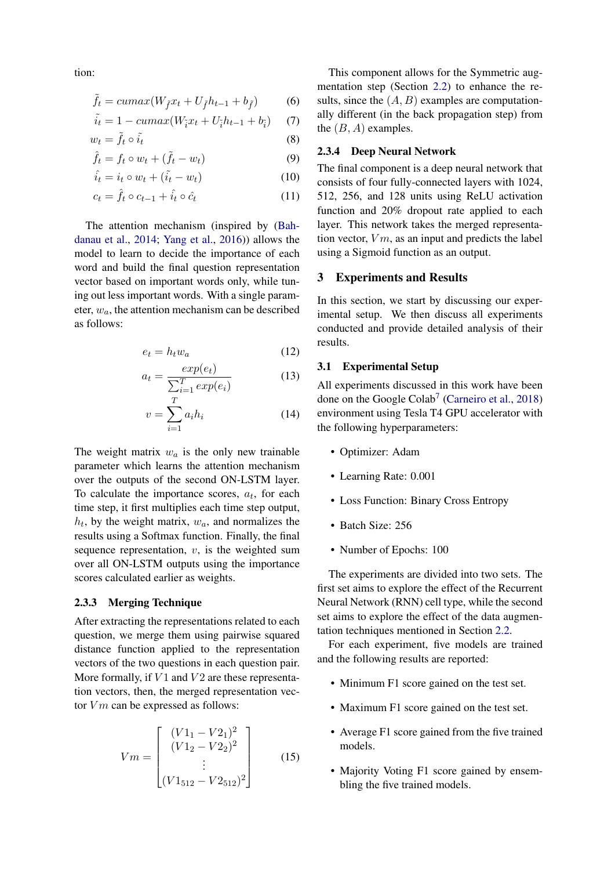tion:

$$
\tilde{f}_t = cumax(W_{\tilde{f}}x_t + U_{\tilde{f}}h_{t-1} + b_{\tilde{f}})
$$
(6)

$$
\tilde{i}_t = 1 - cumax(W_{\tilde{i}}x_t + U_{\tilde{i}}h_{t-1} + b_{\tilde{i}})
$$
 (7)

$$
w_t = \tilde{f}_t \circ \tilde{i}_t \tag{8}
$$

$$
\hat{f}_t = f_t \circ w_t + (\tilde{f}_t - w_t) \tag{9}
$$

$$
\hat{i}_t = i_t \circ w_t + (\tilde{i}_t - w_t) \tag{10}
$$

$$
c_t = \hat{f}_t \circ c_{t-1} + \hat{i}_t \circ \hat{c}_t \tag{11}
$$

The attention mechanism (inspired by [\(Bah](#page-7-5)[danau et al.,](#page-7-5) [2014;](#page-7-5) [Yang et al.,](#page-8-10) [2016\)](#page-8-10)) allows the model to learn to decide the importance of each word and build the final question representation vector based on important words only, while tuning out less important words. With a single parameter,  $w_a$ , the attention mechanism can be described as follows:

$$
e_t = h_t w_a \tag{12}
$$

$$
a_t = \frac{exp(e_t)}{\sum_{i=1}^T exp(e_i)}\tag{13}
$$

$$
v = \sum_{i=1}^{T} a_i h_i \tag{14}
$$

The weight matrix  $w_a$  is the only new trainable parameter which learns the attention mechanism over the outputs of the second ON-LSTM layer. To calculate the importance scores,  $a_t$ , for each time step, it first multiplies each time step output,  $h_t$ , by the weight matrix,  $w_a$ , and normalizes the results using a Softmax function. Finally, the final sequence representation,  $v$ , is the weighted sum over all ON-LSTM outputs using the importance scores calculated earlier as weights.

## 2.3.3 Merging Technique

After extracting the representations related to each question, we merge them using pairwise squared distance function applied to the representation vectors of the two questions in each question pair. More formally, if  $V1$  and  $V2$  are these representation vectors, then, the merged representation vector  $Vm$  can be expressed as follows:

$$
Vm = \begin{bmatrix} (V1_1 - V2_1)^2 \\ (V1_2 - V2_2)^2 \\ \vdots \\ (V1_{512} - V2_{512})^2 \end{bmatrix}
$$
 (15)

This component allows for the Symmetric augmentation step (Section [2.2\)](#page-1-4) to enhance the results, since the  $(A, B)$  examples are computationally different (in the back propagation step) from the  $(B, A)$  examples.

# 2.3.4 Deep Neural Network

The final component is a deep neural network that consists of four fully-connected layers with 1024, 512, 256, and 128 units using ReLU activation function and 20% dropout rate applied to each layer. This network takes the merged representation vector,  $Vm$ , as an input and predicts the label using a Sigmoid function as an output.

#### <span id="page-3-0"></span>3 Experiments and Results

In this section, we start by discussing our experimental setup. We then discuss all experiments conducted and provide detailed analysis of their results.

## 3.1 Experimental Setup

All experiments discussed in this work have been done on the Google Colab<sup>[7](#page-4-0)</sup> [\(Carneiro et al.,](#page-7-6) [2018\)](#page-7-6) environment using Tesla T4 GPU accelerator with the following hyperparameters:

- Optimizer: Adam
- Learning Rate: 0.001
- Loss Function: Binary Cross Entropy
- Batch Size: 256
- Number of Epochs: 100

The experiments are divided into two sets. The first set aims to explore the effect of the Recurrent Neural Network (RNN) cell type, while the second set aims to explore the effect of the data augmentation techniques mentioned in Section [2.2.](#page-1-4)

For each experiment, five models are trained and the following results are reported:

- Minimum F1 score gained on the test set.
- Maximum F1 score gained on the test set.
- Average F1 score gained from the five trained models.
- Majority Voting F1 score gained by ensembling the five trained models.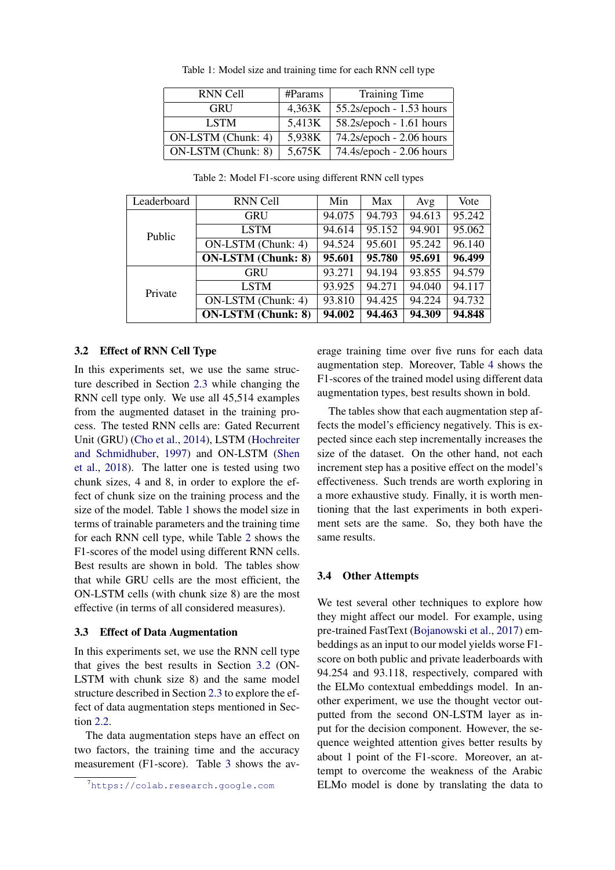<span id="page-4-1"></span>

| <b>RNN Cell</b>    | #Params | <b>Training Time</b>        |
|--------------------|---------|-----------------------------|
| GRU                | 4,363K  | $55.2$ s/epoch - 1.53 hours |
| <b>LSTM</b>        | 5,413K  | 58.2s/epoch - 1.61 hours    |
| ON-LSTM (Chunk: 4) | 5,938K  | 74.2s/epoch - 2.06 hours    |
| ON-LSTM (Chunk: 8) | 5,675K  | 74.4s/epoch - 2.06 hours    |

Table 1: Model size and training time for each RNN cell type

<span id="page-4-2"></span>

| Leaderboard | <b>RNN Cell</b>           | Min    | Max    | Avg    | Vote   |
|-------------|---------------------------|--------|--------|--------|--------|
| Public      | <b>GRU</b>                | 94.075 | 94.793 | 94.613 | 95.242 |
|             | <b>LSTM</b>               | 94.614 | 95.152 | 94.901 | 95.062 |
|             | ON-LSTM (Chunk: 4)        | 94.524 | 95.601 | 95.242 | 96.140 |
|             | <b>ON-LSTM</b> (Chunk: 8) | 95.601 | 95.780 | 95.691 | 96.499 |
| Private     | <b>GRU</b>                | 93.271 | 94.194 | 93.855 | 94.579 |
|             | <b>LSTM</b>               | 93.925 | 94.271 | 94.040 | 94.117 |
|             | ON-LSTM (Chunk: 4)        | 93.810 | 94.425 | 94.224 | 94.732 |
|             | <b>ON-LSTM</b> (Chunk: 8) | 94.002 | 94.463 | 94.309 | 94.848 |

Table 2: Model F1-score using different RNN cell types

#### <span id="page-4-3"></span>3.2 Effect of RNN Cell Type

In this experiments set, we use the same structure described in Section [2.3](#page-1-5) while changing the RNN cell type only. We use all 45,514 examples from the augmented dataset in the training process. The tested RNN cells are: Gated Recurrent Unit (GRU) [\(Cho et al.,](#page-7-7) [2014\)](#page-7-7), LSTM [\(Hochreiter](#page-7-8) [and Schmidhuber,](#page-7-8) [1997\)](#page-7-8) and ON-LSTM [\(Shen](#page-8-9) [et al.,](#page-8-9) [2018\)](#page-8-9). The latter one is tested using two chunk sizes, 4 and 8, in order to explore the effect of chunk size on the training process and the size of the model. Table [1](#page-4-1) shows the model size in terms of trainable parameters and the training time for each RNN cell type, while Table [2](#page-4-2) shows the F1-scores of the model using different RNN cells. Best results are shown in bold. The tables show that while GRU cells are the most efficient, the ON-LSTM cells (with chunk size 8) are the most effective (in terms of all considered measures).

#### 3.3 Effect of Data Augmentation

In this experiments set, we use the RNN cell type that gives the best results in Section [3.2](#page-4-3) (ON-LSTM with chunk size 8) and the same model structure described in Section [2.3](#page-1-5) to explore the effect of data augmentation steps mentioned in Section [2.2.](#page-1-4)

The data augmentation steps have an effect on two factors, the training time and the accuracy measurement (F1-score). Table [3](#page-5-0) shows the average training time over five runs for each data augmentation step. Moreover, Table [4](#page-5-1) shows the F1-scores of the trained model using different data augmentation types, best results shown in bold.

The tables show that each augmentation step affects the model's efficiency negatively. This is expected since each step incrementally increases the size of the dataset. On the other hand, not each increment step has a positive effect on the model's effectiveness. Such trends are worth exploring in a more exhaustive study. Finally, it is worth mentioning that the last experiments in both experiment sets are the same. So, they both have the same results.

#### 3.4 Other Attempts

We test several other techniques to explore how they might affect our model. For example, using pre-trained FastText [\(Bojanowski et al.,](#page-7-9) [2017\)](#page-7-9) embeddings as an input to our model yields worse F1 score on both public and private leaderboards with 94.254 and 93.118, respectively, compared with the ELMo contextual embeddings model. In another experiment, we use the thought vector outputted from the second ON-LSTM layer as input for the decision component. However, the sequence weighted attention gives better results by about 1 point of the F1-score. Moreover, an attempt to overcome the weakness of the Arabic ELMo model is done by translating the data to

<span id="page-4-0"></span><sup>7</sup><https://colab.research.google.com>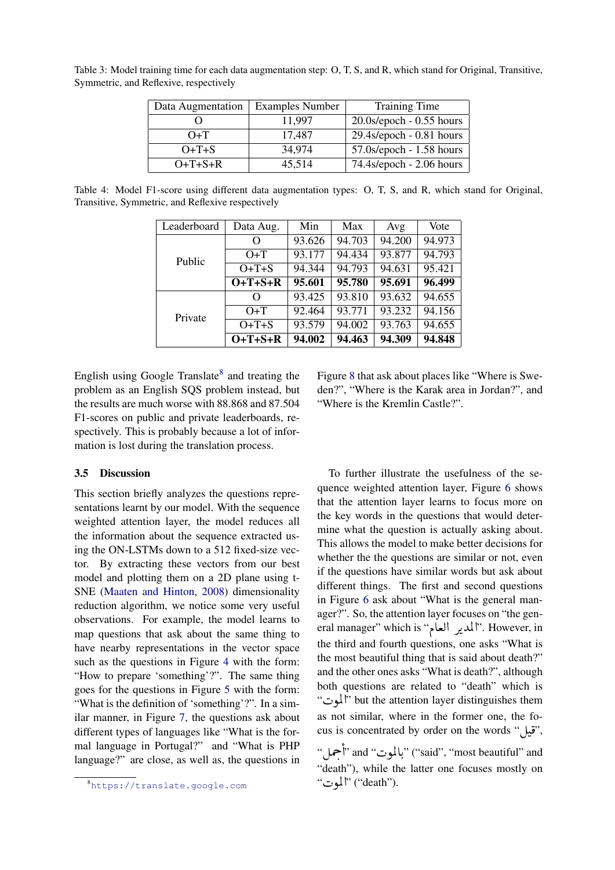| Data Augmentation | <b>Examples Number</b> | Training Time                 |  |  |
|-------------------|------------------------|-------------------------------|--|--|
|                   | 11,997                 | $20.0$ s/epoch - $0.55$ hours |  |  |
| $O+T$             | 17,487                 | $29.4$ s/epoch - $0.81$ hours |  |  |
| $O+T+S$           | 34,974                 | $57.0$ s/epoch - 1.58 hours   |  |  |
| $O+T+S+R$         | 45,514                 | 74.4s/epoch - 2.06 hours      |  |  |

<span id="page-5-0"></span>Table 3: Model training time for each data augmentation step: O, T, S, and R, which stand for Original, Transitive, Symmetric, and Reflexive, respectively

<span id="page-5-1"></span>Table 4: Model F1-score using different data augmentation types: O, T, S, and R, which stand for Original, Transitive, Symmetric, and Reflexive respectively

| Leaderboard | Data Aug. | Min    | Max    | Avg    | Vote   |
|-------------|-----------|--------|--------|--------|--------|
|             | O         | 93.626 | 94.703 | 94.200 | 94.973 |
| Public      | $O+T$     | 93.177 | 94.434 | 93.877 | 94.793 |
|             | $O+T+S$   | 94.344 | 94.793 | 94.631 | 95.421 |
|             | $O+T+S+R$ | 95.601 | 95.780 | 95.691 | 96.499 |
|             | O         | 93.425 | 93.810 | 93.632 | 94.655 |
| Private     | $O+T$     | 92.464 | 93.771 | 93.232 | 94.156 |
|             | $O+T+S$   | 93.579 | 94.002 | 93.763 | 94.655 |
|             | $O+T+S+R$ | 94.002 | 94.463 | 94.309 | 94.848 |

English using Google Translate<sup>[8](#page-5-2)</sup> and treating the problem as an English SQS problem instead, but the results are much worse with 88.868 and 87.504 F1-scores on public and private leaderboards, respectively. This is probably because a lot of information is lost during the translation process.

## 3.5 Discussion

This section briefly analyzes the questions representations learnt by our model. With the sequence weighted attention layer, the model reduces all the information about the sequence extracted using the ON-LSTMs down to a 512 fixed-size vector. By extracting these vectors from our best model and plotting them on a 2D plane using t-SNE [\(Maaten and Hinton,](#page-7-10) [2008\)](#page-7-10) dimensionality reduction algorithm, we notice some very useful observations. For example, the model learns to map questions that ask about the same thing to have nearby representations in the vector space such as the questions in Figure [4](#page-6-1) with the form: "How to prepare 'something'?". The same thing goes for the questions in Figure [5](#page-6-2) with the form: "What is the definition of 'something'?". In a similar manner, in Figure [7,](#page-7-11) the questions ask about different types of languages like "What is the formal language in Portugal?" and "What is PHP language?" are close, as well as, the questions in

Figure [8](#page-7-12) that ask about places like "Where is Sweden?", "Where is the Karak area in Jordan?", and "Where is the Kremlin Castle?".

To further illustrate the usefulness of the sequence weighted attention layer, Figure [6](#page-6-3) shows that the attention layer learns to focus more on the key words in the questions that would determine what the question is actually asking about. This allows the model to make better decisions for whether the the questions are similar or not, even if the questions have similar words but ask about different things. The first and second questions in Figure [6](#page-6-3) ask about "What is the general manager?". So, the attention layer focuses on "the general manager" which is "المدير العادة". However, in the third and fourth questions, one asks "What is the most beautiful thing that is said about death?" and the other ones asks "What is death?", although both questions are related to "death" which is  $\mathcal{F}$ the attention layer distinguishes them  $\frac{1}{2}$ as not similar, where in the former one, the fo- $\ddot{\mathbf{c}}$  is concentrated by order on the words " $\dddot{\mathbf{c}}$ ", " $\dddot{\mathbf{c}}$ ", " $\dddot{\mathbf{c}}$ ", " $\dddot{\mathbf{c}}$ ", " $\dddot{\mathbf{c}}$ f<br>. " بالموت" and "بالموت" ("said", "most beautiful" and . ز<br>ء J . "death"), while the latter one focuses mostly on ucatif"), wifit u"<br>"ألموت" ("death"). l۱<br>..

<span id="page-5-2"></span><sup>8</sup><https://translate.google.com>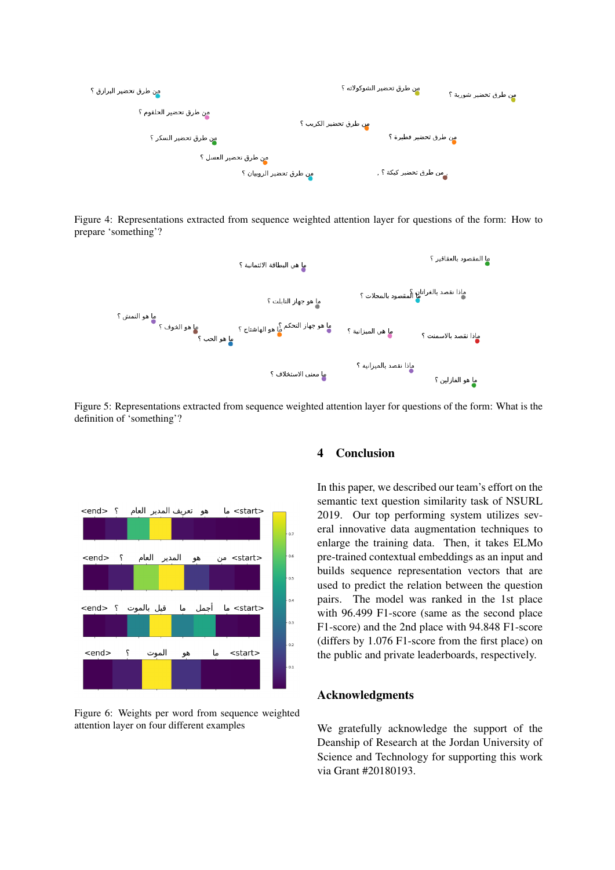<span id="page-6-1"></span>

Figure 4: Representations extracted from sequence weighted attention layer for questions of the form: How to prepare 'something'?

<span id="page-6-2"></span>

Figure 5: Representations extracted from sequence weighted attention layer for questions of the form: What is the definition of 'something'?

<span id="page-6-3"></span>

Figure 6: Weights per word from sequence weighted attention layer on four different examples

## <span id="page-6-0"></span>4 Conclusion

In this paper, we described our team's effort on the semantic text question similarity task of NSURL 2019. Our top performing system utilizes several innovative data augmentation techniques to enlarge the training data. Then, it takes ELMo pre-trained contextual embeddings as an input and builds sequence representation vectors that are used to predict the relation between the question pairs. The model was ranked in the 1st place with 96.499 F1-score (same as the second place F1-score) and the 2nd place with 94.848 F1-score (differs by 1.076 F1-score from the first place) on the public and private leaderboards, respectively.

# Acknowledgments

We gratefully acknowledge the support of the Deanship of Research at the Jordan University of Science and Technology for supporting this work via Grant #20180193.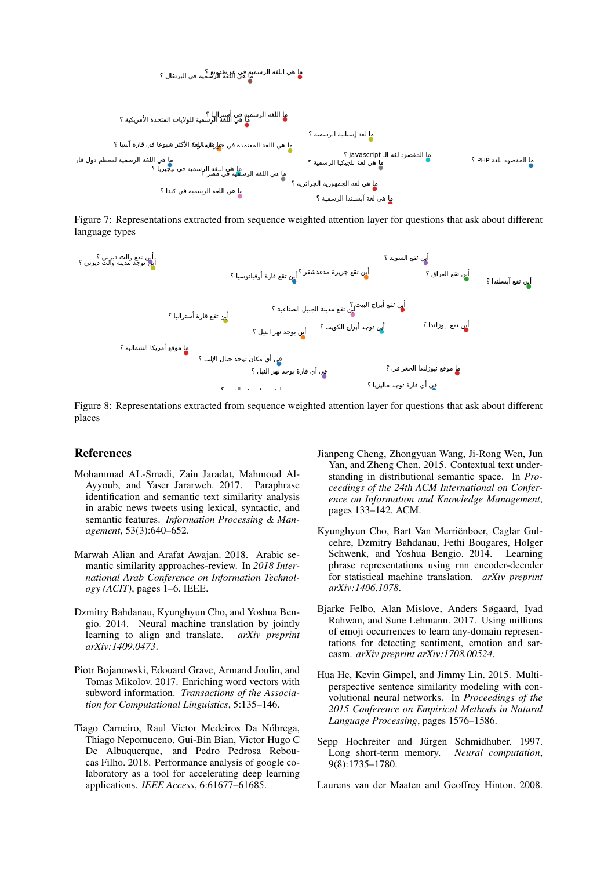<span id="page-7-11"></span>

Figure 7: Representations extracted from sequence weighted attention layer for questions that ask about different language types

<span id="page-7-12"></span>

Figure 8: Representations extracted from sequence weighted attention layer for questions that ask about different places

#### References

- <span id="page-7-1"></span>Mohammad AL-Smadi, Zain Jaradat, Mahmoud Al-Ayyoub, and Yaser Jararweh. 2017. Paraphrase identification and semantic text similarity analysis in arabic news tweets using lexical, syntactic, and semantic features. *Information Processing & Management*, 53(3):640–652.
- <span id="page-7-2"></span>Marwah Alian and Arafat Awajan. 2018. Arabic semantic similarity approaches-review. In *2018 International Arab Conference on Information Technology (ACIT)*, pages 1–6. IEEE.
- <span id="page-7-5"></span>Dzmitry Bahdanau, Kyunghyun Cho, and Yoshua Bengio. 2014. Neural machine translation by jointly learning to align and translate. *arXiv preprint arXiv:1409.0473*.
- <span id="page-7-9"></span>Piotr Bojanowski, Edouard Grave, Armand Joulin, and Tomas Mikolov. 2017. Enriching word vectors with subword information. *Transactions of the Association for Computational Linguistics*, 5:135–146.
- <span id="page-7-6"></span>Tiago Carneiro, Raul Victor Medeiros Da Nobrega, ´ Thiago Nepomuceno, Gui-Bin Bian, Victor Hugo C De Albuquerque, and Pedro Pedrosa Reboucas Filho. 2018. Performance analysis of google colaboratory as a tool for accelerating deep learning applications. *IEEE Access*, 6:61677–61685.
- <span id="page-7-3"></span>Jianpeng Cheng, Zhongyuan Wang, Ji-Rong Wen, Jun Yan, and Zheng Chen. 2015. Contextual text understanding in distributional semantic space. In *Proceedings of the 24th ACM International on Conference on Information and Knowledge Management*, pages 133–142. ACM.
- <span id="page-7-7"></span>Kyunghyun Cho, Bart Van Merrienboer, Caglar Gul- ¨ cehre, Dzmitry Bahdanau, Fethi Bougares, Holger Schwenk, and Yoshua Bengio. 2014. Learning phrase representations using rnn encoder-decoder for statistical machine translation. *arXiv preprint arXiv:1406.1078*.
- <span id="page-7-4"></span>Bjarke Felbo, Alan Mislove, Anders Søgaard, Iyad Rahwan, and Sune Lehmann. 2017. Using millions of emoji occurrences to learn any-domain representations for detecting sentiment, emotion and sarcasm. *arXiv preprint arXiv:1708.00524*.
- <span id="page-7-0"></span>Hua He, Kevin Gimpel, and Jimmy Lin. 2015. Multiperspective sentence similarity modeling with convolutional neural networks. In *Proceedings of the 2015 Conference on Empirical Methods in Natural Language Processing*, pages 1576–1586.
- <span id="page-7-8"></span>Sepp Hochreiter and Jürgen Schmidhuber. 1997. Long short-term memory. *Neural computation*, 9(8):1735–1780.
- <span id="page-7-10"></span>Laurens van der Maaten and Geoffrey Hinton. 2008.